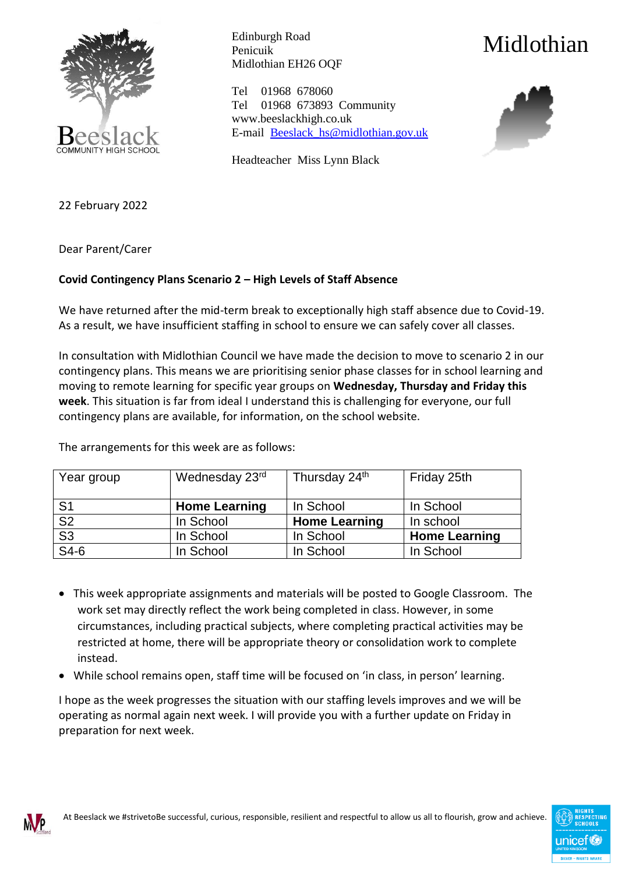

Edinburgh Road Penicuik Midlothian EH26 OQF

Tel 01968 678060 Tel 01968 673893 Community www.beeslackhigh.co.uk E-mail [Beeslack\\_hs@midlothian.gov.uk](mailto:Beeslack_hs@midlothian.gov.uk)

Headteacher Miss Lynn Black





22 February 2022

Dear Parent/Carer

## **Covid Contingency Plans Scenario 2 – High Levels of Staff Absence**

We have returned after the mid-term break to exceptionally high staff absence due to Covid-19. As a result, we have insufficient staffing in school to ensure we can safely cover all classes.

In consultation with Midlothian Council we have made the decision to move to scenario 2 in our contingency plans. This means we are prioritising senior phase classes for in school learning and moving to remote learning for specific year groups on **Wednesday, Thursday and Friday this week**. This situation is far from ideal I understand this is challenging for everyone, our full contingency plans are available, for information, on the school website.

The arrangements for this week are as follows:

| Year group     | Wednesday 23rd       | Thursday 24th        | Friday 25th          |
|----------------|----------------------|----------------------|----------------------|
| S <sub>1</sub> | <b>Home Learning</b> | In School            | In School            |
| S <sub>2</sub> | In School            | <b>Home Learning</b> | In school            |
| S <sub>3</sub> | In School            | In School            | <b>Home Learning</b> |
| $S4-6$         | In School            | In School            | In School            |

- This week appropriate assignments and materials will be posted to Google Classroom. The work set may directly reflect the work being completed in class. However, in some circumstances, including practical subjects, where completing practical activities may be restricted at home, there will be appropriate theory or consolidation work to complete instead.
- While school remains open, staff time will be focused on 'in class, in person' learning.

I hope as the week progresses the situation with our staffing levels improves and we will be operating as normal again next week. I will provide you with a further update on Friday in preparation for next week.